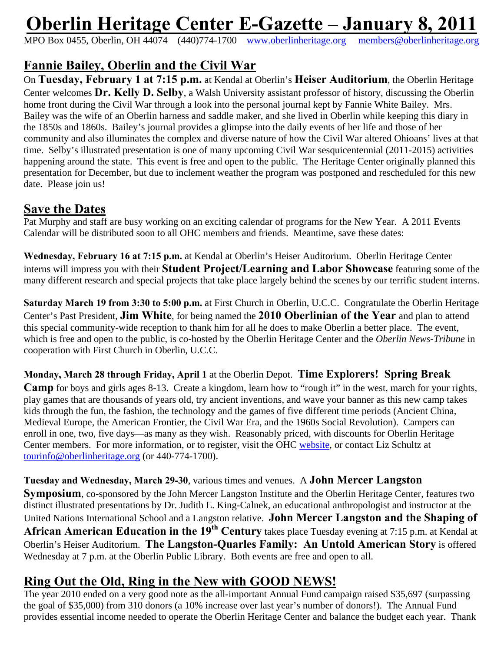# **Oberlin Heritage Center E-Gazette – January 8, 2011**

MPO Box 0455, Oberlin, OH 44074 (440)774-1700 www.oberlinheritage.org members@oberlinheritage.org

# **Fannie Bailey, Oberlin and the Civil War**

On **Tuesday, February 1 at 7:15 p.m.** at Kendal at Oberlin's **Heiser Auditorium**, the Oberlin Heritage Center welcomes **Dr. Kelly D. Selby**, a Walsh University assistant professor of history, discussing the Oberlin home front during the Civil War through a look into the personal journal kept by Fannie White Bailey. Mrs. Bailey was the wife of an Oberlin harness and saddle maker, and she lived in Oberlin while keeping this diary in the 1850s and 1860s. Bailey's journal provides a glimpse into the daily events of her life and those of her community and also illuminates the complex and diverse nature of how the Civil War altered Ohioans' lives at that time. Selby's illustrated presentation is one of many upcoming Civil War sesquicentennial (2011-2015) activities happening around the state. This event is free and open to the public. The Heritage Center originally planned this presentation for December, but due to inclement weather the program was postponed and rescheduled for this new date. Please join us!

#### **Save the Dates**

Pat Murphy and staff are busy working on an exciting calendar of programs for the New Year. A 2011 Events Calendar will be distributed soon to all OHC members and friends. Meantime, save these dates:

**Wednesday, February 16 at 7:15 p.m.** at Kendal at Oberlin's Heiser Auditorium. Oberlin Heritage Center interns will impress you with their **Student Project/Learning and Labor Showcase** featuring some of the many different research and special projects that take place largely behind the scenes by our terrific student interns.

**Saturday March 19 from 3:30 to 5:00 p.m.** at First Church in Oberlin, U.C.C. Congratulate the Oberlin Heritage Center's Past President, **Jim White**, for being named the **2010 Oberlinian of the Year** and plan to attend this special community-wide reception to thank him for all he does to make Oberlin a better place. The event, which is free and open to the public, is co-hosted by the Oberlin Heritage Center and the *Oberlin News-Tribune* in cooperation with First Church in Oberlin, U.C.C.

#### **Monday, March 28 through Friday, April 1** at the Oberlin Depot. **Time Explorers! Spring Break**

**Camp** for boys and girls ages 8-13. Create a kingdom, learn how to "rough it" in the west, march for your rights, play games that are thousands of years old, try ancient inventions, and wave your banner as this new camp takes kids through the fun, the fashion, the technology and the games of five different time periods (Ancient China, Medieval Europe, the American Frontier, the Civil War Era, and the 1960s Social Revolution). Campers can enroll in one, two, five days—as many as they wish. Reasonably priced, with discounts for Oberlin Heritage Center members. For more information, or to register, visit the OHC website, or contact Liz Schultz at tourinfo@oberlinheritage.org (or 440-774-1700).

#### **Tuesday and Wednesday, March 29-30**, various times and venues. A **John Mercer Langston**

**Symposium**, co-sponsored by the John Mercer Langston Institute and the Oberlin Heritage Center, features two distinct illustrated presentations by Dr. Judith E. King-Calnek, an educational anthropologist and instructor at the United Nations International School and a Langston relative. **John Mercer Langston and the Shaping of African American Education in the 19th Century** takes place Tuesday evening at 7:15 p.m. at Kendal at Oberlin's Heiser Auditorium. **The Langston-Quarles Family: An Untold American Story** is offered Wednesday at 7 p.m. at the Oberlin Public Library. Both events are free and open to all.

#### **Ring Out the Old, Ring in the New with GOOD NEWS!**

The year 2010 ended on a very good note as the all-important Annual Fund campaign raised \$35,697 (surpassing the goal of \$35,000) from 310 donors (a 10% increase over last year's number of donors!). The Annual Fund provides essential income needed to operate the Oberlin Heritage Center and balance the budget each year. Thank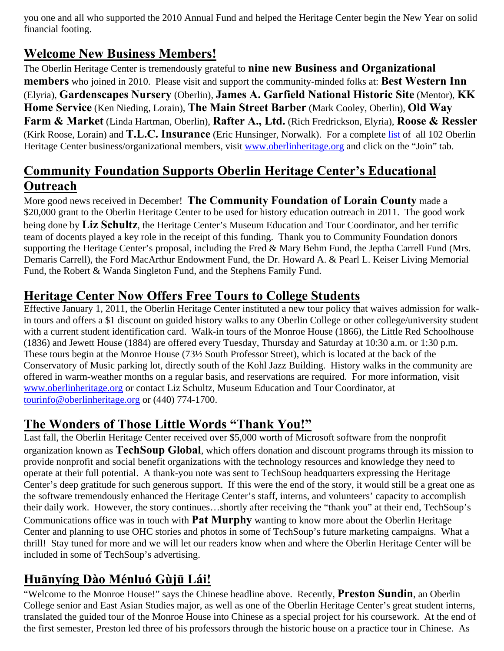you one and all who supported the 2010 Annual Fund and helped the Heritage Center begin the New Year on solid financial footing.

#### **Welcome New Business Members!**

The Oberlin Heritage Center is tremendously grateful to **nine new Business and Organizational members** who joined in 2010. Please visit and support the community-minded folks at: **Best Western Inn** (Elyria), **Gardenscapes Nursery** (Oberlin), **James A. Garfield National Historic Site** (Mentor), **KK Home Service** (Ken Nieding, Lorain), **The Main Street Barber** (Mark Cooley, Oberlin), **Old Way Farm & Market** (Linda Hartman, Oberlin), **Rafter A., Ltd.** (Rich Fredrickson, Elyria), **Roose & Ressler** (Kirk Roose, Lorain) and **T.L.C. Insurance** (Eric Hunsinger, Norwalk). For a complete list of all 102 Oberlin Heritage Center business/organizational members, visit www.oberlinheritage.org and click on the "Join" tab.

### **Community Foundation Supports Oberlin Heritage Center's Educational Outreach**

More good news received in December! **The Community Foundation of Lorain County** made a \$20,000 grant to the Oberlin Heritage Center to be used for history education outreach in 2011. The good work being done by **Liz Schultz**, the Heritage Center's Museum Education and Tour Coordinator, and her terrific team of docents played a key role in the receipt of this funding. Thank you to Community Foundation donors supporting the Heritage Center's proposal, including the Fred & Mary Behm Fund, the Jeptha Carrell Fund (Mrs. Demaris Carrell), the Ford MacArthur Endowment Fund, the Dr. Howard A. & Pearl L. Keiser Living Memorial Fund, the Robert & Wanda Singleton Fund, and the Stephens Family Fund.

### **Heritage Center Now Offers Free Tours to College Students**

Effective January 1, 2011, the Oberlin Heritage Center instituted a new tour policy that waives admission for walkin tours and offers a \$1 discount on guided history walks to any Oberlin College or other college/university student with a current student identification card. Walk-in tours of the Monroe House (1866), the Little Red Schoolhouse (1836) and Jewett House (1884) are offered every Tuesday, Thursday and Saturday at 10:30 a.m. or 1:30 p.m. These tours begin at the Monroe House (73½ South Professor Street), which is located at the back of the Conservatory of Music parking lot, directly south of the Kohl Jazz Building. History walks in the community are offered in warm-weather months on a regular basis, and reservations are required. For more information, visit www.oberlinheritage.org or contact Liz Schultz, Museum Education and Tour Coordinator, at tourinfo@oberlinheritage.org or (440) 774-1700.

#### **The Wonders of Those Little Words "Thank You!"**

Last fall, the Oberlin Heritage Center received over \$5,000 worth of Microsoft software from the nonprofit organization known as **TechSoup Global**, which offers donation and discount programs through its mission to provide nonprofit and social benefit organizations with the technology resources and knowledge they need to operate at their full potential. A thank-you note was sent to TechSoup headquarters expressing the Heritage Center's deep gratitude for such generous support. If this were the end of the story, it would still be a great one as the software tremendously enhanced the Heritage Center's staff, interns, and volunteers' capacity to accomplish their daily work. However, the story continues…shortly after receiving the "thank you" at their end, TechSoup's Communications office was in touch with **Pat Murphy** wanting to know more about the Oberlin Heritage Center and planning to use OHC stories and photos in some of TechSoup's future marketing campaigns. What a thrill! Stay tuned for more and we will let our readers know when and where the Oberlin Heritage Center will be included in some of TechSoup's advertising.

## **Huānyíng Dào Ménluó Gùjū Lái!**

"Welcome to the Monroe House!" says the Chinese headline above. Recently, **Preston Sundin**, an Oberlin College senior and East Asian Studies major, as well as one of the Oberlin Heritage Center's great student interns, translated the guided tour of the Monroe House into Chinese as a special project for his coursework. At the end of the first semester, Preston led three of his professors through the historic house on a practice tour in Chinese. As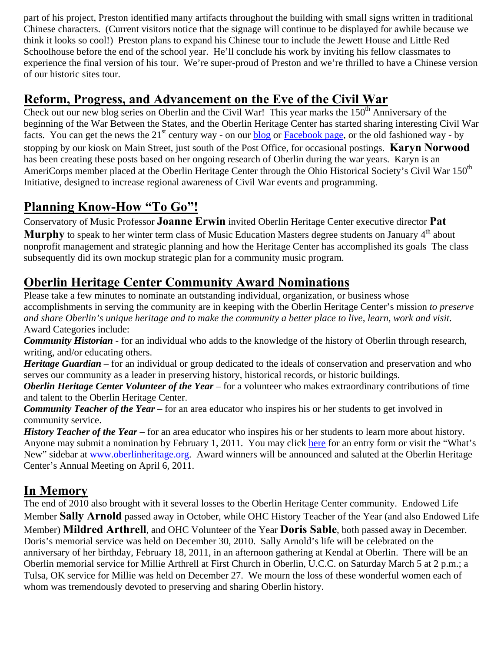part of his project, Preston identified many artifacts throughout the building with small signs written in traditional Chinese characters. (Current visitors notice that the signage will continue to be displayed for awhile because we think it looks so cool!) Preston plans to expand his Chinese tour to include the Jewett House and Little Red Schoolhouse before the end of the school year. He'll conclude his work by inviting his fellow classmates to experience the final version of his tour. We're super-proud of Preston and we're thrilled to have a Chinese version of our historic sites tour.

#### **Reform, Progress, and Advancement on the Eve of the Civil War**

Check out our new blog series on Oberlin and the Civil War! This year marks the  $150<sup>th</sup>$  Anniversary of the beginning of the War Between the States, and the Oberlin Heritage Center has started sharing interesting Civil War facts. You can get the news the  $21<sup>st</sup>$  century way - on our blog or Facebook page, or the old fashioned way - by stopping by our kiosk on Main Street, just south of the Post Office, for occasional postings. **Karyn Norwood** has been creating these posts based on her ongoing research of Oberlin during the war years. Karyn is an AmeriCorps member placed at the Oberlin Heritage Center through the Ohio Historical Society's Civil War 150<sup>th</sup> Initiative, designed to increase regional awareness of Civil War events and programming.

### **Planning Know-How "To Go"!**

Conservatory of Music Professor **Joanne Erwin** invited Oberlin Heritage Center executive director **Pat**  Murphy to speak to her winter term class of Music Education Masters degree students on January 4<sup>th</sup> about nonprofit management and strategic planning and how the Heritage Center has accomplished its goals The class subsequently did its own mockup strategic plan for a community music program.

# **Oberlin Heritage Center Community Award Nominations**

Please take a few minutes to nominate an outstanding individual, organization, or business whose accomplishments in serving the community are in keeping with the Oberlin Heritage Center's mission *to preserve and share Oberlin's unique heritage and to make the community a better place to live, learn, work and visit*. Award Categories include:

*Community Historian* - for an individual who adds to the knowledge of the history of Oberlin through research, writing, and/or educating others.

*Heritage Guardian* – for an individual or group dedicated to the ideals of conservation and preservation and who serves our community as a leader in preserving history, historical records, or historic buildings.

*Oberlin Heritage Center Volunteer of the Year* – for a volunteer who makes extraordinary contributions of time and talent to the Oberlin Heritage Center.

*Community Teacher of the Year* – for an area educator who inspires his or her students to get involved in community service.

*History Teacher of the Year* – for an area educator who inspires his or her students to learn more about history. Anyone may submit a nomination by February 1, 2011. You may click here for an entry form or visit the "What's New" sidebar at www.oberlinheritage.org. Award winners will be announced and saluted at the Oberlin Heritage Center's Annual Meeting on April 6, 2011.

#### **In Memory**

The end of 2010 also brought with it several losses to the Oberlin Heritage Center community. Endowed Life Member **Sally Arnold** passed away in October, while OHC History Teacher of the Year (and also Endowed Life Member) **Mildred Arthrell**, and OHC Volunteer of the Year **Doris Sable**, both passed away in December. Doris's memorial service was held on December 30, 2010. Sally Arnold's life will be celebrated on the anniversary of her birthday, February 18, 2011, in an afternoon gathering at Kendal at Oberlin. There will be an Oberlin memorial service for Millie Arthrell at First Church in Oberlin, U.C.C. on Saturday March 5 at 2 p.m.; a Tulsa, OK service for Millie was held on December 27. We mourn the loss of these wonderful women each of whom was tremendously devoted to preserving and sharing Oberlin history.